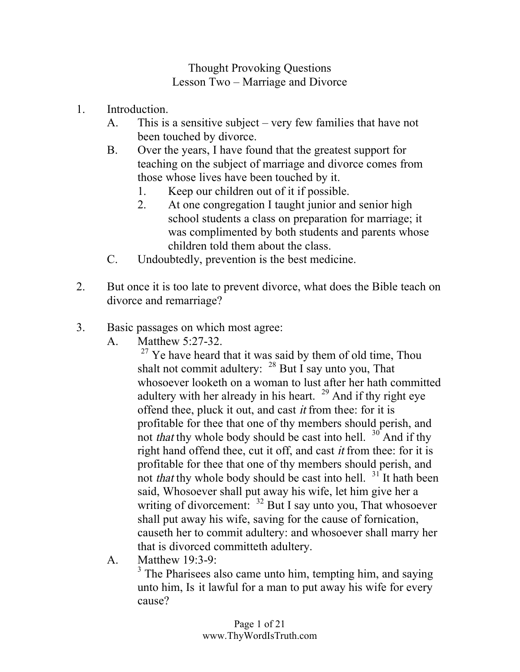## Thought Provoking Questions Lesson Two – Marriage and Divorce

- 1. Introduction.
	- A. This is a sensitive subject very few families that have not been touched by divorce.
	- B. Over the years, I have found that the greatest support for teaching on the subject of marriage and divorce comes from those whose lives have been touched by it.
		- 1. Keep our children out of it if possible.
		- 2. At one congregation I taught junior and senior high school students a class on preparation for marriage; it was complimented by both students and parents whose children told them about the class.
	- C. Undoubtedly, prevention is the best medicine.
- 2. But once it is too late to prevent divorce, what does the Bible teach on divorce and remarriage?
- 3. Basic passages on which most agree:
	- A. Matthew 5:27-32.

 $27$  Ye have heard that it was said by them of old time, Thou shalt not commit adultery:  $28$  But I say unto you, That whosoever looketh on a woman to lust after her hath committed adultery with her already in his heart.  $29$  And if thy right eye offend thee, pluck it out, and cast it from thee: for it is profitable for thee that one of thy members should perish, and not *that* thy whole body should be cast into hell.  $30^{\circ}$  And if thy right hand offend thee, cut it off, and cast it from thee: for it is profitable for thee that one of thy members should perish, and not *that* thy whole body should be cast into hell.  $31$  It hath been said, Whosoever shall put away his wife, let him give her a writing of divorcement: <sup>32</sup> But I say unto you, That whosoever shall put away his wife, saving for the cause of fornication, causeth her to commit adultery: and whosoever shall marry her that is divorced committeth adultery.

A. Matthew 19:3-9:

 $3$  The Pharisees also came unto him, tempting him, and saying unto him, Is it lawful for a man to put away his wife for every cause?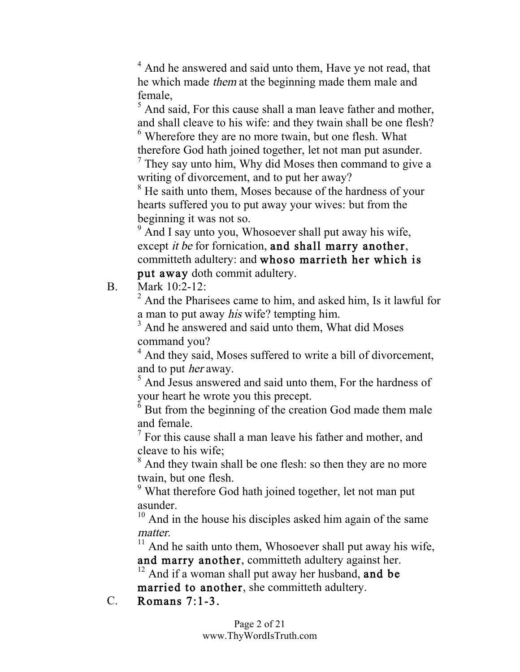<sup>4</sup> And he answered and said unto them, Have ye not read, that he which made them at the beginning made them male and female,  $\frac{5}{5}$  And said, For this cause shall a man leave father and mother,

and shall cleave to his wife: and they twain shall be one flesh? <sup>6</sup> Wherefore they are no more twain, but one flesh. What therefore God hath joined together, let not man put asunder. <sup>7</sup> They say unto him, Why did Moses then command to give <sup>a</sup>

writing of divorcement, and to put her away?

<sup>8</sup> He saith unto them, Moses because of the hardness of your hearts suffered you to put away your wives: but from the beginning it was not so.

<sup>9</sup> And I say unto you, Whosoever shall put away his wife, except *it be* for fornication, and shall marry another, committeth adultery: and whoso marrieth her which is put away doth commit adultery.

B. Mark 10:2-12:

<sup>2</sup> And the Pharisees came to him, and asked him, Is it lawful for a man to put away *his* wife? tempting him.<br> $3$  And he answered and said unto them, What did Moses

command you?

<sup>4</sup> And they said, Moses suffered to write a bill of divorcement, and to put her away.

<sup>5</sup> And Jesus answered and said unto them, For the hardness of your heart he wrote you this precept. <sup>6</sup> But from the beginning of the creation God made them male

and female.<br> $\frac{7}{1}$  For this cause shall a man leave his father and mother, and

cleave to his wife;

<sup>8</sup> And they twain shall be one flesh: so then they are no more twain, but one flesh.

<sup>9</sup> What therefore God hath joined together, let not man put asunder.<br> $10^{\circ}$  And in the house his disciples asked him again of the same

matter.<br> $11$  And he saith unto them, Whosoever shall put away his wife, and marry another, committeth adultery against her.<br><sup>12</sup> And if a woman shall put away her husband, and be

married to another, she committeth adultery.

C. Romans 7:1-3.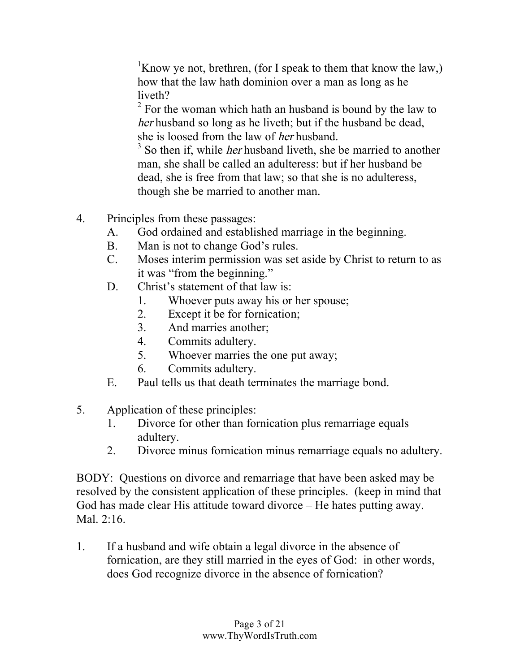<sup>1</sup> <sup>1</sup>Know ye not, brethren, (for I speak to them that know the law,) how that the law hath dominion over a man as long as he liveth?

 $2$  For the woman which hath an husband is bound by the law to her husband so long as he liveth; but if the husband be dead, she is loosed from the law of her husband.

<sup>3</sup> So then if, while *her* husband liveth, she be married to another man, she shall be called an adulteress: but if her husband be dead, she is free from that law; so that she is no adulteress, though she be married to another man.

- 4. Principles from these passages:
	- A. God ordained and established marriage in the beginning.
	- B. Man is not to change God's rules.
	- C. Moses interim permission was set aside by Christ to return to as it was "from the beginning."
	- D. Christ's statement of that law is:
		- 1. Whoever puts away his or her spouse;
		- 2. Except it be for fornication;
		- 3. And marries another;
		- 4. Commits adultery.
		- 5. Whoever marries the one put away;
		- 6. Commits adultery.
	- E. Paul tells us that death terminates the marriage bond.
- 5. Application of these principles:
	- 1. Divorce for other than fornication plus remarriage equals adultery.
	- 2. Divorce minus fornication minus remarriage equals no adultery.

BODY: Questions on divorce and remarriage that have been asked may be resolved by the consistent application of these principles. (keep in mind that God has made clear His attitude toward divorce – He hates putting away. Mal. 2:16.

1. If a husband and wife obtain a legal divorce in the absence of fornication, are they still married in the eyes of God: in other words, does God recognize divorce in the absence of fornication?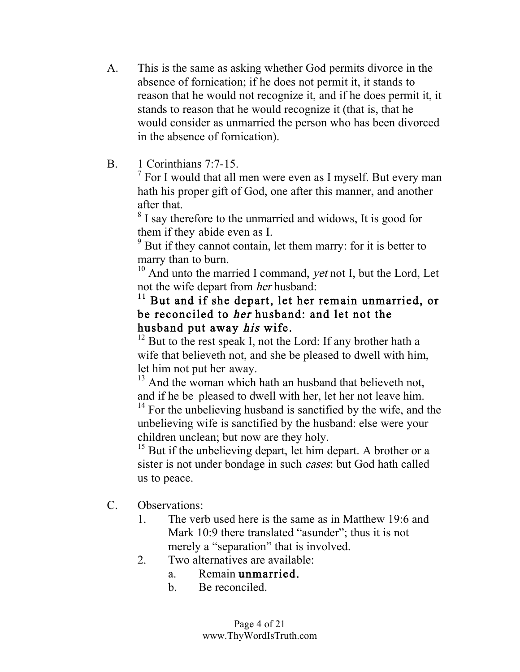- A. This is the same as asking whether God permits divorce in the absence of fornication; if he does not permit it, it stands to reason that he would not recognize it, and if he does permit it, it stands to reason that he would recognize it (that is, that he would consider as unmarried the person who has been divorced in the absence of fornication).
- 

B. 1 Corinthians 7:7-15.<br><sup>7</sup> For I would that all men were even as I myself. But every man hath his proper gift of God, one after this manner, and another after that.<br><sup>8</sup> I say therefore to the unmarried and widows, It is good for

them if they abide even as I.<br> $\frac{9}{2}$  But if they cannot contain, let them marry: for it is better to

marry than to burn.

 $10$  And unto the married I command, *yet* not I, but the Lord, Let not the wife depart from her husband:

## <sup>11</sup> But and if she depart, let her remain unmarried, or be reconciled to her husband: and let not the

husband put away *his* wife.<br><sup>12</sup> But to the rest speak I, not the Lord: If any brother hath a wife that believeth not, and she be pleased to dwell with him, let him not put her away.

<sup>13</sup> And the woman which hath an husband that believeth not, and if he be pleased to dwell with her, let her not leave him. <sup>14</sup> For the unbelieving husband is sanctified by the wife, and the

unbelieving wife is sanctified by the husband: else were your children unclean; but now are they holy.

<sup>15</sup> But if the unbelieving depart, let him depart. A brother or a sister is not under bondage in such cases: but God hath called us to peace.

- C. Observations:
	- 1. The verb used here is the same as in Matthew 19:6 and Mark 10:9 there translated "asunder"; thus it is not merely a "separation" that is involved.
	- 2. Two alternatives are available:
		- a. Remain unmarried.
		- b. Be reconciled.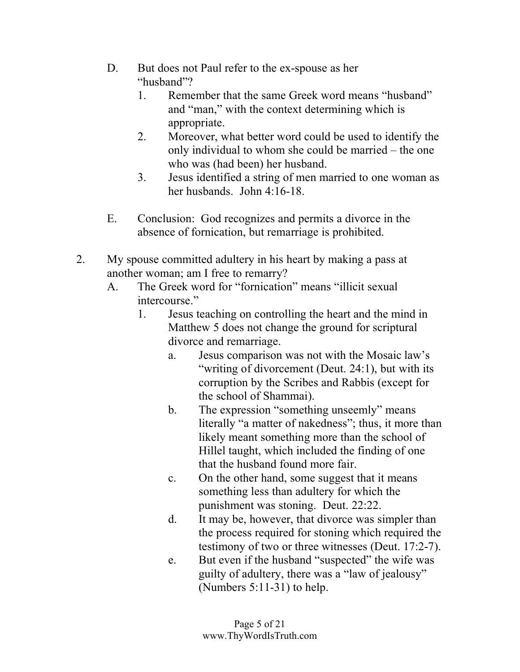- D. But does not Paul refer to the ex-spouse as her "husband"?
	- 1. Remember that the same Greek word means "husband" and "man," with the context determining which is appropriate.
	- 2. Moreover, what better word could be used to identify the only individual to whom she could be married – the one who was (had been) her husband.
	- 3. Jesus identified a string of men married to one woman as her husbands. John 4:16-18.
- E. Conclusion: God recognizes and permits a divorce in the absence of fornication, but remarriage is prohibited.
- 2. My spouse committed adultery in his heart by making a pass at another woman; am I free to remarry?
	- A. The Greek word for "fornication" means "illicit sexual intercourse."
		- 1. Jesus teaching on controlling the heart and the mind in Matthew 5 does not change the ground for scriptural divorce and remarriage.
			- a. Jesus comparison was not with the Mosaic law's "writing of divorcement (Deut. 24:1), but with its corruption by the Scribes and Rabbis (except for the school of Shammai).
			- b. The expression "something unseemly" means literally "a matter of nakedness"; thus, it more than likely meant something more than the school of Hillel taught, which included the finding of one that the husband found more fair.
			- c. On the other hand, some suggest that it means something less than adultery for which the punishment was stoning. Deut. 22:22.
			- d. It may be, however, that divorce was simpler than the process required for stoning which required the testimony of two or three witnesses (Deut. 17:2-7).
			- e. But even if the husband "suspected" the wife was guilty of adultery, there was a "law of jealousy" (Numbers 5:11-31) to help.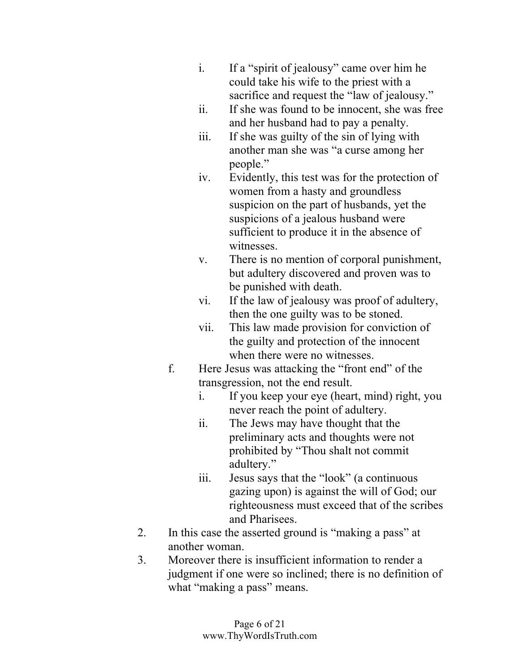- i. If a "spirit of jealousy" came over him he could take his wife to the priest with a sacrifice and request the "law of jealousy."
- ii. If she was found to be innocent, she was free and her husband had to pay a penalty.
- iii. If she was guilty of the sin of lying with another man she was "a curse among her people."
- iv. Evidently, this test was for the protection of women from a hasty and groundless suspicion on the part of husbands, yet the suspicions of a jealous husband were sufficient to produce it in the absence of witnesses.
- v. There is no mention of corporal punishment, but adultery discovered and proven was to be punished with death.
- vi. If the law of jealousy was proof of adultery, then the one guilty was to be stoned.
- vii. This law made provision for conviction of the guilty and protection of the innocent when there were no witnesses.
- f. Here Jesus was attacking the "front end" of the transgression, not the end result.
	- i. If you keep your eye (heart, mind) right, you never reach the point of adultery.
	- ii. The Jews may have thought that the preliminary acts and thoughts were not prohibited by "Thou shalt not commit adultery."
	- iii. Jesus says that the "look" (a continuous gazing upon) is against the will of God; our righteousness must exceed that of the scribes and Pharisees.
- 2. In this case the asserted ground is "making a pass" at another woman.
- 3. Moreover there is insufficient information to render a judgment if one were so inclined; there is no definition of what "making a pass" means.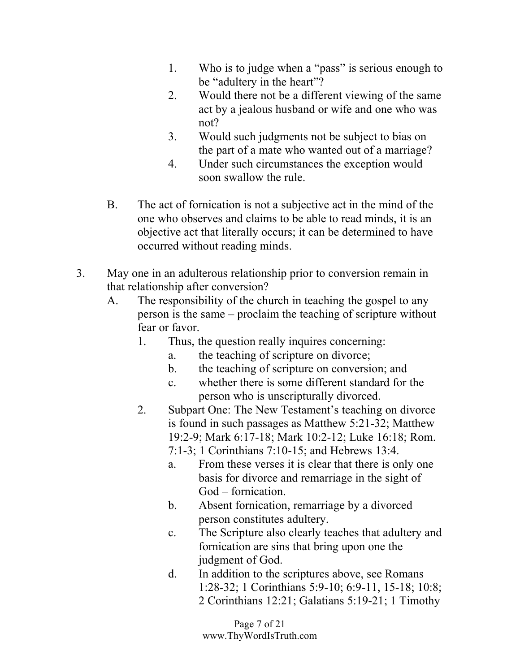- 1. Who is to judge when a "pass" is serious enough to be "adultery in the heart"?
- 2. Would there not be a different viewing of the same act by a jealous husband or wife and one who was not?
- 3. Would such judgments not be subject to bias on the part of a mate who wanted out of a marriage?
- 4. Under such circumstances the exception would soon swallow the rule.
- B. The act of fornication is not a subjective act in the mind of the one who observes and claims to be able to read minds, it is an objective act that literally occurs; it can be determined to have occurred without reading minds.
- 3. May one in an adulterous relationship prior to conversion remain in that relationship after conversion?
	- A. The responsibility of the church in teaching the gospel to any person is the same – proclaim the teaching of scripture without fear or favor.
		- 1. Thus, the question really inquires concerning:
			- a. the teaching of scripture on divorce;
			- b. the teaching of scripture on conversion; and
			- c. whether there is some different standard for the person who is unscripturally divorced.
		- 2. Subpart One: The New Testament's teaching on divorce is found in such passages as Matthew 5:21-32; Matthew 19:2-9; Mark 6:17-18; Mark 10:2-12; Luke 16:18; Rom.
			- 7:1-3; 1 Corinthians 7:10-15; and Hebrews 13:4.
			- a. From these verses it is clear that there is only one basis for divorce and remarriage in the sight of God – fornication.
			- b. Absent fornication, remarriage by a divorced person constitutes adultery.
			- c. The Scripture also clearly teaches that adultery and fornication are sins that bring upon one the judgment of God.
			- d. In addition to the scriptures above, see Romans 1:28-32; 1 Corinthians 5:9-10; 6:9-11, 15-18; 10:8; 2 Corinthians 12:21; Galatians 5:19-21; 1 Timothy

Page 7 of 21 www.ThyWordIsTruth.com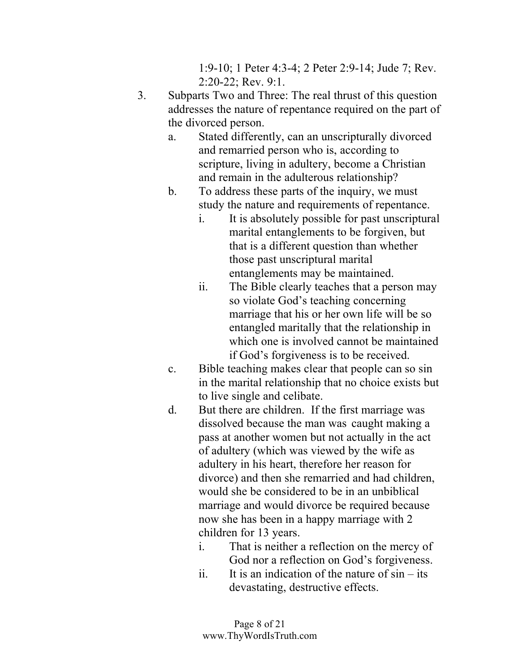1:9-10; 1 Peter 4:3-4; 2 Peter 2:9-14; Jude 7; Rev. 2:20-22; Rev. 9:1.

- 3. Subparts Two and Three: The real thrust of this question addresses the nature of repentance required on the part of the divorced person.
	- a. Stated differently, can an unscripturally divorced and remarried person who is, according to scripture, living in adultery, become a Christian and remain in the adulterous relationship?
	- b. To address these parts of the inquiry, we must study the nature and requirements of repentance.
		- i. It is absolutely possible for past unscriptural marital entanglements to be forgiven, but that is a different question than whether those past unscriptural marital entanglements may be maintained.
		- ii. The Bible clearly teaches that a person may so violate God's teaching concerning marriage that his or her own life will be so entangled maritally that the relationship in which one is involved cannot be maintained if God's forgiveness is to be received.
	- c. Bible teaching makes clear that people can so sin in the marital relationship that no choice exists but to live single and celibate.
	- d. But there are children. If the first marriage was dissolved because the man was caught making a pass at another women but not actually in the act of adultery (which was viewed by the wife as adultery in his heart, therefore her reason for divorce) and then she remarried and had children, would she be considered to be in an unbiblical marriage and would divorce be required because now she has been in a happy marriage with 2 children for 13 years.
		- i. That is neither a reflection on the mercy of God nor a reflection on God's forgiveness.
		- ii. It is an indication of the nature of  $sin its$ devastating, destructive effects.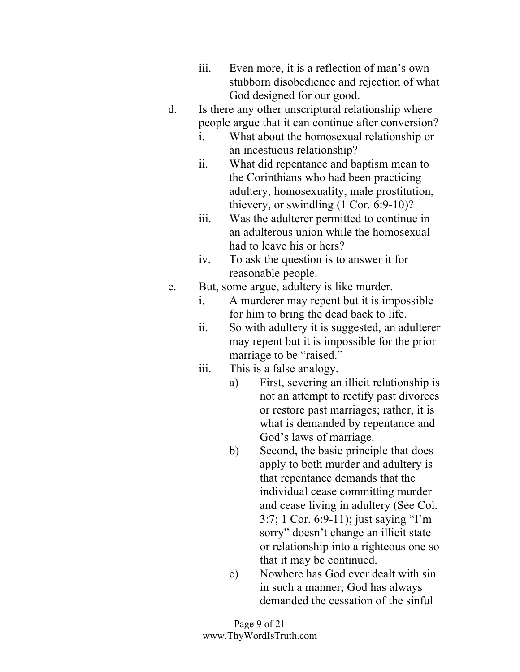- iii. Even more, it is a reflection of man's own stubborn disobedience and rejection of what God designed for our good.
- d. Is there any other unscriptural relationship where people argue that it can continue after conversion?
	- i. What about the homosexual relationship or an incestuous relationship?
	- ii. What did repentance and baptism mean to the Corinthians who had been practicing adultery, homosexuality, male prostitution, thievery, or swindling (1 Cor. 6:9-10)?
	- iii. Was the adulterer permitted to continue in an adulterous union while the homosexual had to leave his or hers?
	- iv. To ask the question is to answer it for reasonable people.
- e. But, some argue, adultery is like murder.
	- i. A murderer may repent but it is impossible for him to bring the dead back to life.
	- ii. So with adultery it is suggested, an adulterer may repent but it is impossible for the prior marriage to be "raised."
	- iii. This is a false analogy.
		- a) First, severing an illicit relationship is not an attempt to rectify past divorces or restore past marriages; rather, it is what is demanded by repentance and God's laws of marriage.
		- b) Second, the basic principle that does apply to both murder and adultery is that repentance demands that the individual cease committing murder and cease living in adultery (See Col. 3:7; 1 Cor. 6:9-11); just saying "I'm sorry" doesn't change an illicit state or relationship into a righteous one so that it may be continued.
		- c) Nowhere has God ever dealt with sin in such a manner; God has always demanded the cessation of the sinful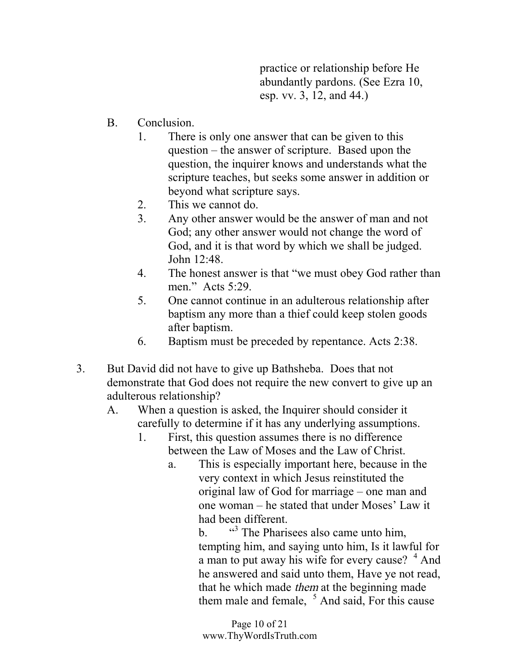practice or relationship before He abundantly pardons. (See Ezra 10, esp. vv. 3, 12, and 44.)

- B. Conclusion.
	- 1. There is only one answer that can be given to this question – the answer of scripture. Based upon the question, the inquirer knows and understands what the scripture teaches, but seeks some answer in addition or beyond what scripture says.
	- 2. This we cannot do.
	- 3. Any other answer would be the answer of man and not God; any other answer would not change the word of God, and it is that word by which we shall be judged. John 12:48.
	- 4. The honest answer is that "we must obey God rather than men." Acts 5:29.
	- 5. One cannot continue in an adulterous relationship after baptism any more than a thief could keep stolen goods after baptism.
	- 6. Baptism must be preceded by repentance. Acts 2:38.
- 3. But David did not have to give up Bathsheba. Does that not demonstrate that God does not require the new convert to give up an adulterous relationship?
	- A. When a question is asked, the Inquirer should consider it carefully to determine if it has any underlying assumptions.
		- 1. First, this question assumes there is no difference between the Law of Moses and the Law of Christ.
			- a. This is especially important here, because in the very context in which Jesus reinstituted the original law of God for marriage – one man and one woman – he stated that under Moses' Law it had been different.

**.** <sup>43</sup> The Pharisees also came unto him, tempting him, and saying unto him, Is it lawful for a man to put away his wife for every cause?  $4$  And he answered and said unto them, Have ye not read, that he which made them at the beginning made them male and female,  $5$  And said, For this cause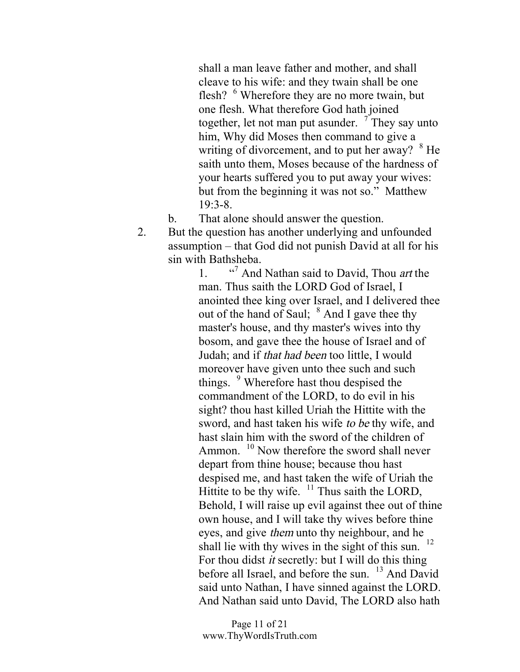shall a man leave father and mother, and shall cleave to his wife: and they twain shall be one flesh? <sup>6</sup> Wherefore they are no more twain, but one flesh. What therefore God hath joined together, let not man put asunder.  $\frac{7}{7}$  They say unto him, Why did Moses then command to give a writing of divorcement, and to put her away?  $8$  He saith unto them, Moses because of the hardness of your hearts suffered you to put away your wives: but from the beginning it was not so." Matthew 19:3-8.

b. That alone should answer the question.

2. But the question has another underlying and unfounded assumption – that God did not punish David at all for his sin with Bathsheba.

> $1$  $\cdot$ <sup>7</sup> And Nathan said to David, Thou *art* the man. Thus saith the LORD God of Israel, I anointed thee king over Israel, and I delivered thee out of the hand of Saul;  $8$  And I gave thee thy master's house, and thy master's wives into thy bosom, and gave thee the house of Israel and of Judah; and if that had been too little, I would moreover have given unto thee such and such things. <sup>9</sup> Wherefore hast thou despised the commandment of the LORD, to do evil in his sight? thou hast killed Uriah the Hittite with the sword, and hast taken his wife to be thy wife, and hast slain him with the sword of the children of Ammon. <sup>10</sup> Now therefore the sword shall never depart from thine house; because thou hast despised me, and hast taken the wife of Uriah the Hittite to be thy wife.  $11$  Thus saith the LORD, Behold, I will raise up evil against thee out of thine own house, and I will take thy wives before thine eyes, and give them unto thy neighbour, and he shall lie with thy wives in the sight of this sun. 12 For thou didst it secretly: but I will do this thing before all Israel, and before the sun. <sup>13</sup> And David said unto Nathan, I have sinned against the LORD. And Nathan said unto David, The LORD also hath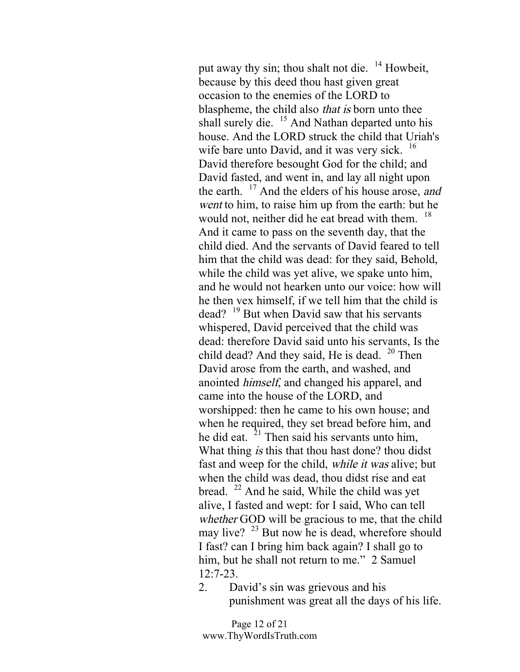put away thy sin; thou shalt not die.  $14$  Howbeit, because by this deed thou hast given great occasion to the enemies of the LORD to blaspheme, the child also that is born unto thee shall surely die. <sup>15</sup> And Nathan departed unto his house. And the LORD struck the child that Uriah's wife bare unto David, and it was very sick. <sup>16</sup> David therefore besought God for the child; and David fasted, and went in, and lay all night upon the earth.  $17$  And the elders of his house arose, and went to him, to raise him up from the earth: but he would not, neither did he eat bread with them. <sup>18</sup> And it came to pass on the seventh day, that the child died. And the servants of David feared to tell him that the child was dead: for they said, Behold, while the child was yet alive, we spake unto him, and he would not hearken unto our voice: how will he then vex himself, if we tell him that the child is dead? <sup>19</sup> But when David saw that his servants whispered, David perceived that the child was dead: therefore David said unto his servants, Is the child dead? And they said, He is dead.  $20$  Then David arose from the earth, and washed, and anointed himself, and changed his apparel, and came into the house of the LORD, and worshipped: then he came to his own house; and when he required, they set bread before him, and he did eat.  $2<sup>1</sup>$  Then said his servants unto him, What thing *is* this that thou hast done? thou didst fast and weep for the child, while it was alive; but when the child was dead, thou didst rise and eat bread.  $^{22}$  And he said, While the child was yet alive, I fasted and wept: for I said, Who can tell whether GOD will be gracious to me, that the child may live?  $^{23}$  But now he is dead, wherefore should I fast? can I bring him back again? I shall go to him, but he shall not return to me." 2 Samuel 12:7-23.

2. David's sin was grievous and his punishment was great all the days of his life.

Page 12 of 21 www.ThyWordIsTruth.com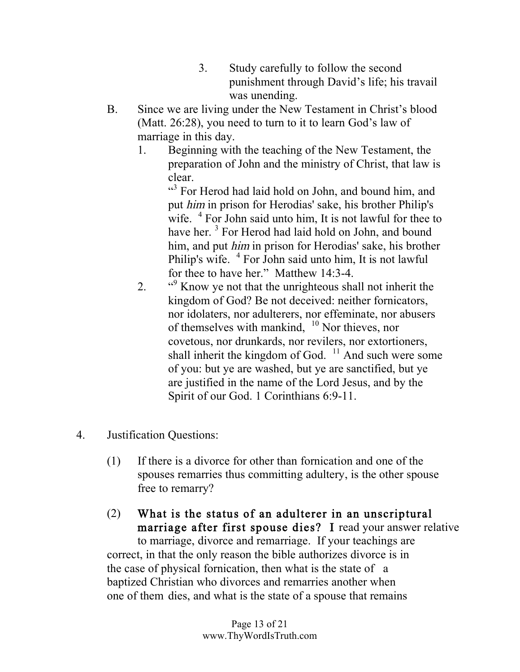- 3. Study carefully to follow the second punishment through David's life; his travail was unending.
- B. Since we are living under the New Testament in Christ's blood (Matt. 26:28), you need to turn to it to learn God's law of marriage in this day.
	- 1. Beginning with the teaching of the New Testament, the preparation of John and the ministry of Christ, that law is clear.

<sup>43</sup> For Herod had laid hold on John, and bound him, and put him in prison for Herodias' sake, his brother Philip's wife. <sup>4</sup> For John said unto him, It is not lawful for thee to have her.<sup>3</sup> For Herod had laid hold on John, and bound him, and put him in prison for Herodias' sake, his brother Philip's wife. <sup>4</sup> For John said unto him, It is not lawful for thee to have her." Matthew 14:3-4.

- $2.$ <sup>49</sup> Know ye not that the unrighteous shall not inherit the kingdom of God? Be not deceived: neither fornicators, nor idolaters, nor adulterers, nor effeminate, nor abusers of themselves with mankind,  $10$  Nor thieves, nor covetous, nor drunkards, nor revilers, nor extortioners, shall inherit the kingdom of God.  $11$  And such were some of you: but ye are washed, but ye are sanctified, but ye are justified in the name of the Lord Jesus, and by the Spirit of our God. 1 Corinthians 6:9-11.
- 4. Justification Questions:
	- (1) If there is a divorce for other than fornication and one of the spouses remarries thus committing adultery, is the other spouse free to remarry?

## (2) What is the status of an adulterer in an unscriptural marriage after first spouse dies? I read your answer relative to marriage, divorce and remarriage. If your teachings are correct, in that the only reason the bible authorizes divorce is in the case of physical fornication, then what is the state of a baptized Christian who divorces and remarries another when one of them dies, and what is the state of a spouse that remains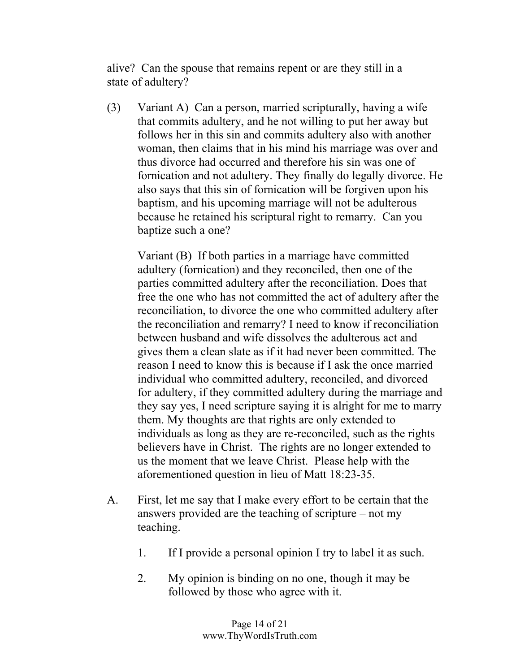alive? Can the spouse that remains repent or are they still in a state of adultery?

(3) Variant A) Can a person, married scripturally, having a wife that commits adultery, and he not willing to put her away but follows her in this sin and commits adultery also with another woman, then claims that in his mind his marriage was over and thus divorce had occurred and therefore his sin was one of fornication and not adultery. They finally do legally divorce. He also says that this sin of fornication will be forgiven upon his baptism, and his upcoming marriage will not be adulterous because he retained his scriptural right to remarry. Can you baptize such a one?

Variant (B) If both parties in a marriage have committed adultery (fornication) and they reconciled, then one of the parties committed adultery after the reconciliation. Does that free the one who has not committed the act of adultery after the reconciliation, to divorce the one who committed adultery after the reconciliation and remarry? I need to know if reconciliation between husband and wife dissolves the adulterous act and gives them a clean slate as if it had never been committed. The reason I need to know this is because if I ask the once married individual who committed adultery, reconciled, and divorced for adultery, if they committed adultery during the marriage and they say yes, I need scripture saying it is alright for me to marry them. My thoughts are that rights are only extended to individuals as long as they are re-reconciled, such as the rights believers have in Christ. The rights are no longer extended to us the moment that we leave Christ. Please help with the aforementioned question in lieu of Matt 18:23-35.

- A. First, let me say that I make every effort to be certain that the answers provided are the teaching of scripture – not my teaching.
	- 1. If I provide a personal opinion I try to label it as such.
	- 2. My opinion is binding on no one, though it may be followed by those who agree with it.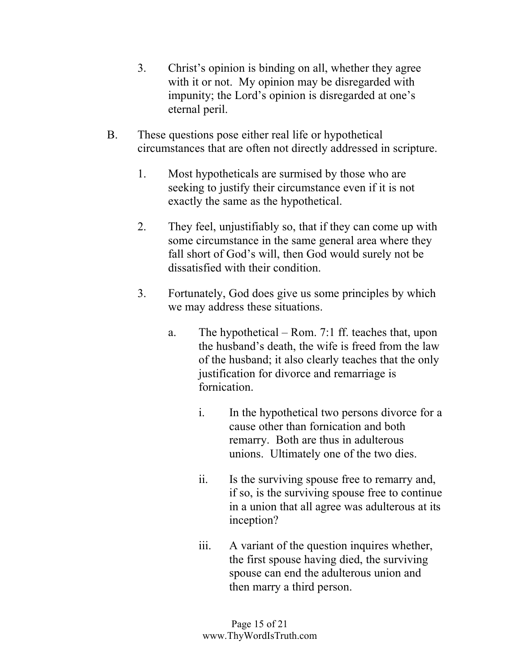- 3. Christ's opinion is binding on all, whether they agree with it or not. My opinion may be disregarded with impunity; the Lord's opinion is disregarded at one's eternal peril.
- B. These questions pose either real life or hypothetical circumstances that are often not directly addressed in scripture.
	- 1. Most hypotheticals are surmised by those who are seeking to justify their circumstance even if it is not exactly the same as the hypothetical.
	- 2. They feel, unjustifiably so, that if they can come up with some circumstance in the same general area where they fall short of God's will, then God would surely not be dissatisfied with their condition.
	- 3. Fortunately, God does give us some principles by which we may address these situations.
		- a. The hypothetical Rom. 7:1 ff. teaches that, upon the husband's death, the wife is freed from the law of the husband; it also clearly teaches that the only justification for divorce and remarriage is fornication.
			- i. In the hypothetical two persons divorce for a cause other than fornication and both remarry. Both are thus in adulterous unions. Ultimately one of the two dies.
			- ii. Is the surviving spouse free to remarry and, if so, is the surviving spouse free to continue in a union that all agree was adulterous at its inception?
			- iii. A variant of the question inquires whether, the first spouse having died, the surviving spouse can end the adulterous union and then marry a third person.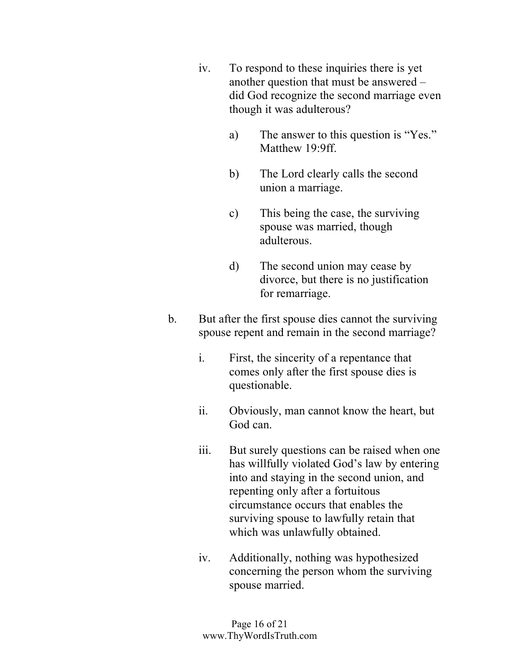- iv. To respond to these inquiries there is yet another question that must be answered – did God recognize the second marriage even though it was adulterous?
	- a) The answer to this question is "Yes." Matthew 19.9ff
	- b) The Lord clearly calls the second union a marriage.
	- c) This being the case, the surviving spouse was married, though adulterous.
	- d) The second union may cease by divorce, but there is no justification for remarriage.
- b. But after the first spouse dies cannot the surviving spouse repent and remain in the second marriage?
	- i. First, the sincerity of a repentance that comes only after the first spouse dies is questionable.
	- ii. Obviously, man cannot know the heart, but God can.
	- iii. But surely questions can be raised when one has willfully violated God's law by entering into and staying in the second union, and repenting only after a fortuitous circumstance occurs that enables the surviving spouse to lawfully retain that which was unlawfully obtained.
	- iv. Additionally, nothing was hypothesized concerning the person whom the surviving spouse married.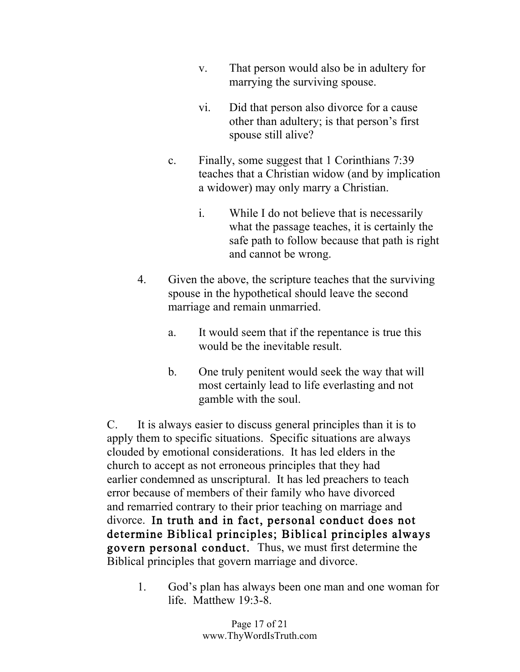- v. That person would also be in adultery for marrying the surviving spouse.
- vi. Did that person also divorce for a cause other than adultery; is that person's first spouse still alive?
- c. Finally, some suggest that 1 Corinthians 7:39 teaches that a Christian widow (and by implication a widower) may only marry a Christian.
	- i. While I do not believe that is necessarily what the passage teaches, it is certainly the safe path to follow because that path is right and cannot be wrong.
- 4. Given the above, the scripture teaches that the surviving spouse in the hypothetical should leave the second marriage and remain unmarried.
	- a. It would seem that if the repentance is true this would be the inevitable result.
	- b. One truly penitent would seek the way that will most certainly lead to life everlasting and not gamble with the soul.

C. It is always easier to discuss general principles than it is to apply them to specific situations. Specific situations are always clouded by emotional considerations. It has led elders in the church to accept as not erroneous principles that they had earlier condemned as unscriptural. It has led preachers to teach error because of members of their family who have divorced and remarried contrary to their prior teaching on marriage and divorce. In truth and in fact, personal conduct does not determine Biblical principles; Biblical principles always govern personal conduct. Thus, we must first determine the Biblical principles that govern marriage and divorce.

1. God's plan has always been one man and one woman for life. Matthew  $19.3-8$ .

> Page 17 of 21 www.ThyWordIsTruth.com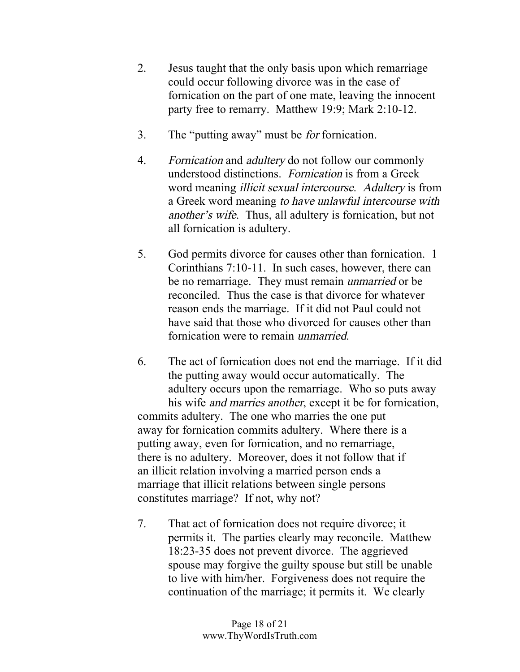- 2. Jesus taught that the only basis upon which remarriage could occur following divorce was in the case of fornication on the part of one mate, leaving the innocent party free to remarry. Matthew 19:9; Mark 2:10-12.
- 3. The "putting away" must be for fornication.
- 4. Fornication and adultery do not follow our commonly understood distinctions. Fornication is from a Greek word meaning illicit sexual intercourse. Adultery is from a Greek word meaning to have unlawful intercourse with another's wife. Thus, all adultery is fornication, but not all fornication is adultery.
- 5. God permits divorce for causes other than fornication. 1 Corinthians 7:10-11. In such cases, however, there can be no remarriage. They must remain unmarried or be reconciled. Thus the case is that divorce for whatever reason ends the marriage. If it did not Paul could not have said that those who divorced for causes other than fornication were to remain unmarried.
- 6. The act of fornication does not end the marriage. If it did the putting away would occur automatically. The adultery occurs upon the remarriage. Who so puts away his wife and marries another, except it be for fornication, commits adultery. The one who marries the one put away for fornication commits adultery. Where there is a putting away, even for fornication, and no remarriage, there is no adultery. Moreover, does it not follow that if an illicit relation involving a married person ends a marriage that illicit relations between single persons constitutes marriage? If not, why not?
- 7. That act of fornication does not require divorce; it permits it. The parties clearly may reconcile. Matthew 18:23-35 does not prevent divorce. The aggrieved spouse may forgive the guilty spouse but still be unable to live with him/her. Forgiveness does not require the continuation of the marriage; it permits it. We clearly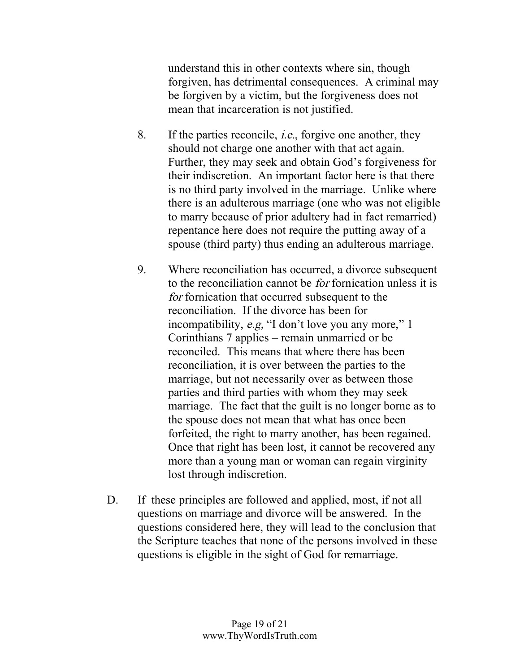understand this in other contexts where sin, though forgiven, has detrimental consequences. A criminal may be forgiven by a victim, but the forgiveness does not mean that incarceration is not justified.

- 8. If the parties reconcile, i.e., forgive one another, they should not charge one another with that act again. Further, they may seek and obtain God's forgiveness for their indiscretion. An important factor here is that there is no third party involved in the marriage. Unlike where there is an adulterous marriage (one who was not eligible to marry because of prior adultery had in fact remarried) repentance here does not require the putting away of a spouse (third party) thus ending an adulterous marriage.
- 9. Where reconciliation has occurred, a divorce subsequent to the reconciliation cannot be for fornication unless it is for fornication that occurred subsequent to the reconciliation. If the divorce has been for incompatibility, e.g, "I don't love you any more," 1 Corinthians 7 applies – remain unmarried or be reconciled. This means that where there has been reconciliation, it is over between the parties to the marriage, but not necessarily over as between those parties and third parties with whom they may seek marriage. The fact that the guilt is no longer borne as to the spouse does not mean that what has once been forfeited, the right to marry another, has been regained. Once that right has been lost, it cannot be recovered any more than a young man or woman can regain virginity lost through indiscretion.
- D. If these principles are followed and applied, most, if not all questions on marriage and divorce will be answered. In the questions considered here, they will lead to the conclusion that the Scripture teaches that none of the persons involved in these questions is eligible in the sight of God for remarriage.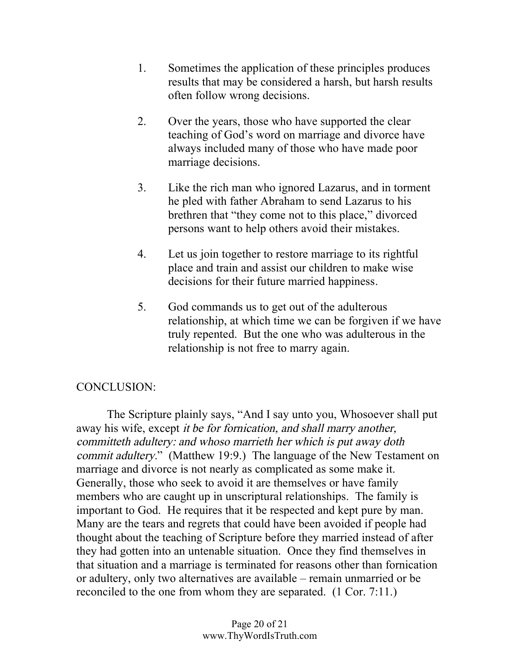- 1. Sometimes the application of these principles produces results that may be considered a harsh, but harsh results often follow wrong decisions.
- 2. Over the years, those who have supported the clear teaching of God's word on marriage and divorce have always included many of those who have made poor marriage decisions.
- 3. Like the rich man who ignored Lazarus, and in torment he pled with father Abraham to send Lazarus to his brethren that "they come not to this place," divorced persons want to help others avoid their mistakes.
- 4. Let us join together to restore marriage to its rightful place and train and assist our children to make wise decisions for their future married happiness.
- 5. God commands us to get out of the adulterous relationship, at which time we can be forgiven if we have truly repented. But the one who was adulterous in the relationship is not free to marry again.

## CONCLUSION:

The Scripture plainly says, "And I say unto you, Whosoever shall put away his wife, except it be for fornication, and shall marry another, committeth adultery: and whoso marrieth her which is put away doth commit adultery." (Matthew 19:9.) The language of the New Testament on marriage and divorce is not nearly as complicated as some make it. Generally, those who seek to avoid it are themselves or have family members who are caught up in unscriptural relationships. The family is important to God. He requires that it be respected and kept pure by man. Many are the tears and regrets that could have been avoided if people had thought about the teaching of Scripture before they married instead of after they had gotten into an untenable situation. Once they find themselves in that situation and a marriage is terminated for reasons other than fornication or adultery, only two alternatives are available – remain unmarried or be reconciled to the one from whom they are separated. (1 Cor. 7:11.)